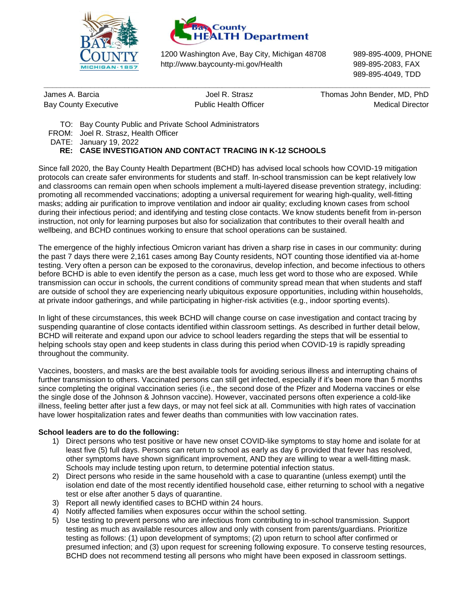



1200 Washington Ave, Bay City, Michigan 48708 989-895-4009, PHONE http://www.baycounty-mi.gov/Health 989-895-2083, FAX

**\_\_\_\_\_\_\_\_\_\_\_\_\_\_\_\_\_\_\_\_\_\_\_\_\_\_\_\_\_\_\_\_\_\_\_\_\_\_\_\_\_\_\_\_\_\_\_\_\_\_\_\_\_\_\_\_\_\_\_\_\_\_\_\_\_\_\_\_\_\_\_\_\_\_\_\_\_\_\_\_\_\_\_\_\_\_\_\_\_\_\_**

989-895-4049, TDD

James A. Barcia Joel R. Strasz Thomas John Bender, MD, PhD Bay County Executive **Medical Director** Public Health Officer **Medical Director** Medical Director

- TO: Bay County Public and Private School Administrators
- FROM: Joel R. Strasz, Health Officer

DATE: January 19, 2022

## **RE: CASE INVESTIGATION AND CONTACT TRACING IN K-12 SCHOOLS**

Since fall 2020, the Bay County Health Department (BCHD) has advised local schools how COVID-19 mitigation protocols can create safer environments for students and staff. In-school transmission can be kept relatively low and classrooms can remain open when schools implement a multi-layered disease prevention strategy, including: promoting all recommended vaccinations; adopting a universal requirement for wearing high-quality, well-fitting masks; adding air purification to improve ventilation and indoor air quality; excluding known cases from school during their infectious period; and identifying and testing close contacts. We know students benefit from in-person instruction, not only for learning purposes but also for socialization that contributes to their overall health and wellbeing, and BCHD continues working to ensure that school operations can be sustained.

The emergence of the highly infectious Omicron variant has driven a sharp rise in cases in our community: during the past 7 days there were 2,161 cases among Bay County residents, NOT counting those identified via at-home testing. Very often a person can be exposed to the coronavirus, develop infection, and become infectious to others before BCHD is able to even identify the person as a case, much less get word to those who are exposed. While transmission can occur in schools, the current conditions of community spread mean that when students and staff are outside of school they are experiencing nearly ubiquitous exposure opportunities, including within households, at private indoor gatherings, and while participating in higher-risk activities (e.g., indoor sporting events).

In light of these circumstances, this week BCHD will change course on case investigation and contact tracing by suspending quarantine of close contacts identified within classroom settings. As described in further detail below, BCHD will reiterate and expand upon our advice to school leaders regarding the steps that will be essential to helping schools stay open and keep students in class during this period when COVID-19 is rapidly spreading throughout the community.

Vaccines, boosters, and masks are the best available tools for avoiding serious illness and interrupting chains of further transmission to others. Vaccinated persons can still get infected, especially if it's been more than 5 months since completing the original vaccination series (i.e., the second dose of the Pfizer and Moderna vaccines or else the single dose of the Johnson & Johnson vaccine). However, vaccinated persons often experience a cold-like illness, feeling better after just a few days, or may not feel sick at all. Communities with high rates of vaccination have lower hospitalization rates and fewer deaths than communities with low vaccination rates.

## **School leaders are to do the following:**

- 1) Direct persons who test positive or have new onset COVID-like symptoms to stay home and isolate for at least five (5) full days. Persons can return to school as early as day 6 provided that fever has resolved, other symptoms have shown significant improvement, AND they are willing to wear a well-fitting mask. Schools may include testing upon return, to determine potential infection status.
- 2) Direct persons who reside in the same household with a case to quarantine (unless exempt) until the isolation end date of the most recently identified household case, either returning to school with a negative test or else after another 5 days of quarantine.
- 3) Report all newly identified cases to BCHD within 24 hours.
- 4) Notify affected families when exposures occur within the school setting.
- 5) Use testing to prevent persons who are infectious from contributing to in-school transmission. Support testing as much as available resources allow and only with consent from parents/guardians. Prioritize testing as follows: (1) upon development of symptoms; (2) upon return to school after confirmed or presumed infection; and (3) upon request for screening following exposure. To conserve testing resources, BCHD does not recommend testing all persons who might have been exposed in classroom settings.